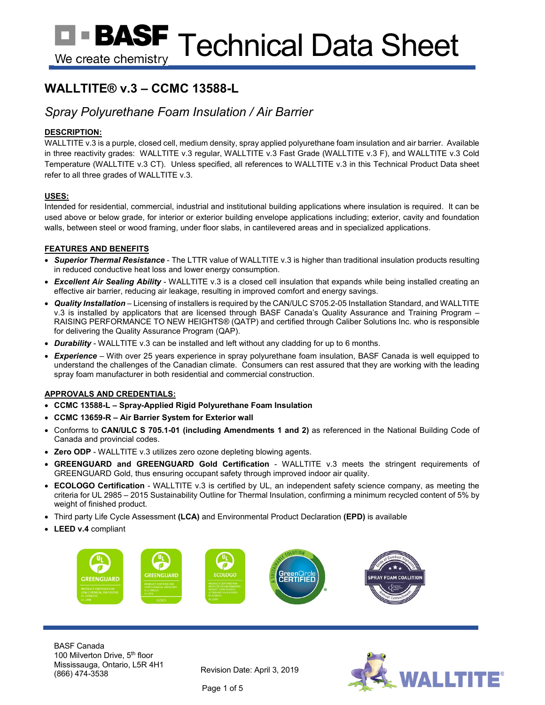# **WALLTITE® v.3 – CCMC 13588-L**

## *Spray Polyurethane Foam Insulation / Air Barrier*

## **DESCRIPTION:**

WALLTITE v.3 is a purple, closed cell, medium density, spray applied polyurethane foam insulation and air barrier. Available in three reactivity grades: WALLTITE v.3 regular, WALLTITE v.3 Fast Grade (WALLTITE v.3 F), and WALLTITE v.3 Cold Temperature (WALLTITE v.3 CT). Unless specified, all references to WALLTITE v.3 in this Technical Product Data sheet refer to all three grades of WALLTITE v.3.

## **USES:**

Intended for residential, commercial, industrial and institutional building applications where insulation is required. It can be used above or below grade, for interior or exterior building envelope applications including; exterior, cavity and foundation walls, between steel or wood framing, under floor slabs, in cantilevered areas and in specialized applications.

## **FEATURES AND BENEFITS**

- *Superior Thermal Resistance* The LTTR value of WALLTITE v.3 is higher than traditional insulation products resulting in reduced conductive heat loss and lower energy consumption.
- *Excellent Air Sealing Ability* WALLTITE v.3 is a closed cell insulation that expands while being installed creating an effective air barrier, reducing air leakage, resulting in improved comfort and energy savings.
- *Quality Installation* Licensing of installers is required by the CAN/ULC S705.2-05 Installation Standard, and WALLTITE v.3 is installed by applicators that are licensed through BASF Canada's Quality Assurance and Training Program – RAISING PERFORMANCE TO NEW HEIGHTS® (QATP) and certified through Caliber Solutions Inc. who is responsible for delivering the Quality Assurance Program (QAP).
- *Durability* WALLTITE v.3 can be installed and left without any cladding for up to 6 months.
- *Experience* With over 25 years experience in spray polyurethane foam insulation, BASF Canada is well equipped to understand the challenges of the Canadian climate. Consumers can rest assured that they are working with the leading spray foam manufacturer in both residential and commercial construction.

## **APPROVALS AND CREDENTIALS:**

- **CCMC 13588-L – Spray-Applied Rigid Polyurethane Foam Insulation**
- **CCMC 13659-R – Air Barrier System for Exterior wall**
- Conforms to **CAN/ULC S 705.1-01 (including Amendments 1 and 2)** as referenced in the National Building Code of Canada and provincial codes.
- **Zero ODP** WALLTITE v.3 utilizes zero ozone depleting blowing agents.
- **GREENGUARD and GREENGUARD Gold Certification** WALLTITE v.3 meets the stringent requirements of GREENGUARD Gold, thus ensuring occupant safety through improved indoor air quality.
- **ECOLOGO Certification** WALLTITE v.3 is certified by UL, an independent safety science company, as meeting the criteria for UL 2985 – 2015 Sustainability Outline for Thermal Insulation, confirming a minimum recycled content of 5% by weight of finished product.
- Third party Life Cycle Assessment **(LCA)** and Environmental Product Declaration **(EPD)** is available
- **LEED v.4** compliant



BASF Canada 100 Milverton Drive, 5<sup>th</sup> floor Mississauga, Ontario, L5R 4H1 Revision Date: April 3, 2019<br>(866) 474-3538



Page 1 of 5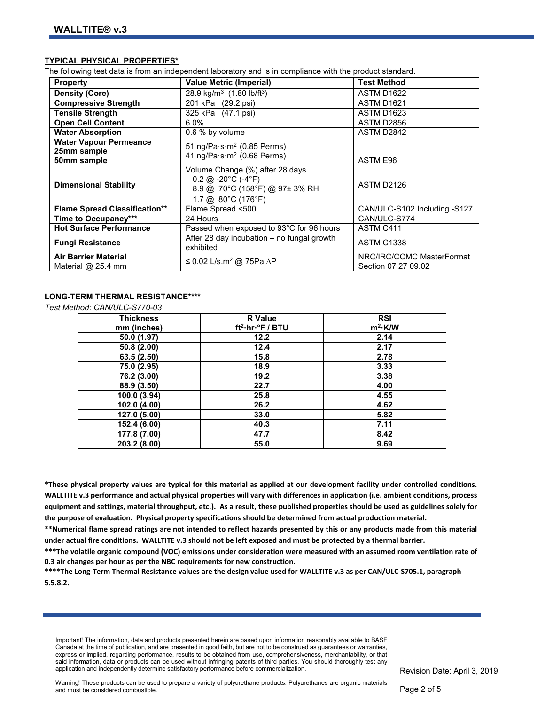#### **TYPICAL PHYSICAL PROPERTIES\***

The following test data is from an independent laboratory and is in compliance with the product standard.

| <b>Property</b>                                             | <b>Value Metric (Imperial)</b>                                                                                                                                 | <b>Test Method</b>                               |
|-------------------------------------------------------------|----------------------------------------------------------------------------------------------------------------------------------------------------------------|--------------------------------------------------|
| <b>Density (Core)</b>                                       | 28.9 kg/m <sup>3</sup> $(1.80 \text{ lb/ft}^3)$                                                                                                                | <b>ASTM D1622</b>                                |
| <b>Compressive Strength</b>                                 | 201 kPa (29.2 psi)                                                                                                                                             | <b>ASTM D1621</b>                                |
| <b>Tensile Strength</b>                                     | 325 kPa (47.1 psi)                                                                                                                                             | ASTM D1623                                       |
| <b>Open Cell Content</b>                                    | 6.0%                                                                                                                                                           | ASTM D2856                                       |
| <b>Water Absorption</b>                                     | 0.6 % by volume                                                                                                                                                | ASTM D2842                                       |
| <b>Water Vapour Permeance</b><br>25mm sample<br>50mm sample | 51 ng/Pa $\cdot$ s $\cdot$ m <sup>2</sup> (0.85 Perms)<br>41 ng/Pa $\cdot$ s $\cdot$ m <sup>2</sup> (0.68 Perms)                                               | ASTM E96                                         |
| <b>Dimensional Stability</b>                                | Volume Change (%) after 28 days<br>$0.2 \text{ (a)} - 20^{\circ} \text{C}$ (-4°F)<br>8.9 @ 70°C (158°F) @ 97± 3% RH<br>1.7 @ $80^{\circ}$ C (176 $^{\circ}$ F) | ASTM D2126                                       |
| <b>Flame Spread Classification**</b>                        | Flame Spread <500                                                                                                                                              | CAN/ULC-S102 Including -S127                     |
| Time to Occupancy***                                        | 24 Hours                                                                                                                                                       | CAN/ULC-S774                                     |
| <b>Hot Surface Performance</b>                              | Passed when exposed to 93°C for 96 hours                                                                                                                       | ASTM C411                                        |
| <b>Fungi Resistance</b>                                     | After 28 day incubation - no fungal growth<br>exhibited                                                                                                        | <b>ASTM C1338</b>                                |
| <b>Air Barrier Material</b><br>Material $@$ 25.4 mm         | ≤ 0.02 L/s.m <sup>2</sup> @ 75Pa $\Delta$ P                                                                                                                    | NRC/IRC/CCMC MasterFormat<br>Section 07 27 09.02 |

## **LONG-TERM THERMAL RESISTANCE\*\*\*\***

*Test Method: CAN/ULC-S770-03*

| <b>Thickness</b> | <b>R</b> Value                            | <b>RSI</b> |
|------------------|-------------------------------------------|------------|
| mm (inches)      | ft <sup>2</sup> ·hr· <sup>°</sup> F / BTU | $m^2$ ·K/W |
| 50.0 (1.97)      | 12.2                                      | 2.14       |
| 50.8 (2.00)      | 12.4                                      | 2.17       |
| 63.5(2.50)       | 15.8                                      | 2.78       |
| 75.0 (2.95)      | 18.9                                      | 3.33       |
| 76.2 (3.00)      | 19.2                                      | 3.38       |
| 88.9 (3.50)      | 22.7                                      | 4.00       |
| 100.0 (3.94)     | 25.8                                      | 4.55       |
| 102.0 (4.00)     | 26.2                                      | 4.62       |
| 127.0 (5.00)     | 33.0                                      | 5.82       |
| 152.4 (6.00)     | 40.3                                      | 7.11       |
| 177.8 (7.00)     | 47.7                                      | 8.42       |
| 203.2 (8.00)     | 55.0                                      | 9.69       |

**\*These physical property values are typical for this material as applied at our development facility under controlled conditions. WALLTITE v.3 performance and actual physical properties will vary with differences in application (i.e. ambient conditions, process equipment and settings, material throughput, etc.). As a result, these published properties should be used as guidelines solely for the purpose of evaluation. Physical property specifications should be determined from actual production material.** 

**\*\*Numerical flame spread ratings are not intended to reflect hazards presented by this or any products made from this material under actual fire conditions. WALLTITE v.3 should not be left exposed and must be protected by a thermal barrier.** 

**\*\*\*The volatile organic compound (VOC) emissions under consideration were measured with an assumed room ventilation rate of 0.3 air changes per hour as per the NBC requirements for new construction.**

**\*\*\*\*The Long-Term Thermal Resistance values are the design value used for WALLTITE v.3 as per CAN/ULC-S705.1, paragraph 5.5.8.2.** 

Important! The information, data and products presented herein are based upon information reasonably available to BASF Canada at the time of publication, and are presented in good faith, but are not to be construed as guarantees or warranties, express or implied, regarding performance, results to be obtained from use, comprehensiveness, merchantability, or that said information, data or products can be used without infringing patents of third parties. You should thoroughly test any application and independently determine satisfactory performance before commercialization.

Revision Date: April 3, 2019

Warning! These products can be used to prepare a variety of polyurethane products. Polyurethanes are organic materials and must be considered combustible.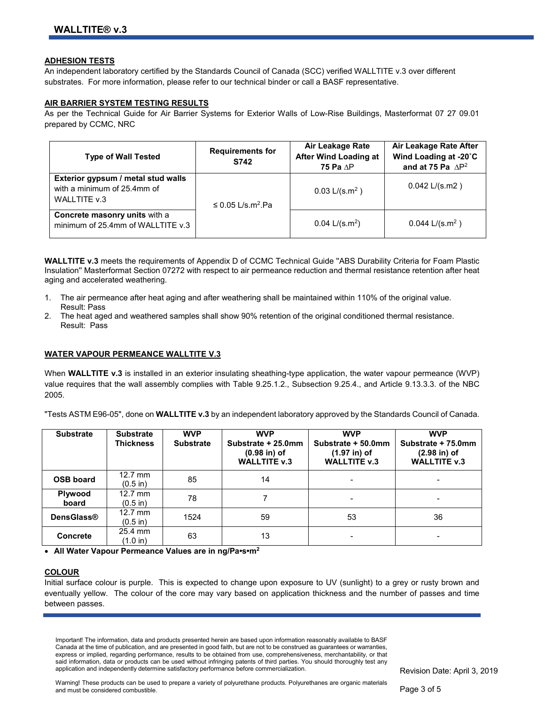#### **ADHESION TESTS**

An independent laboratory certified by the Standards Council of Canada (SCC) verified WALLTITE v.3 over different substrates. For more information, please refer to our technical binder or call a BASF representative.

#### **AIR BARRIER SYSTEM TESTING RESULTS**

As per the Technical Guide for Air Barrier Systems for Exterior Walls of Low-Rise Buildings, Masterformat 07 27 09.01 prepared by CCMC, NRC

| <b>Type of Wall Tested</b>                                                        | <b>Requirements for</b><br>S742    | Air Leakage Rate<br><b>After Wind Loading at</b><br>75 Pa $AP$ | Air Leakage Rate After<br>Wind Loading at -20°C<br>and at 75 Pa $\Delta P^2$ |
|-----------------------------------------------------------------------------------|------------------------------------|----------------------------------------------------------------|------------------------------------------------------------------------------|
| Exterior gypsum / metal stud walls<br>with a minimum of 25.4mm of<br>WALLTITE v.3 | $\leq$ 0.05 L/s.m <sup>2</sup> .Pa | $0.03$ L/(s.m <sup>2</sup> )                                   | $0.042$ L/(s.m2)                                                             |
| Concrete masonry units with a<br>minimum of 25.4mm of WALLTITE v.3                |                                    | $0.04$ L/(s.m <sup>2</sup> )                                   | $0.044$ L/(s.m <sup>2</sup> )                                                |

**WALLTITE v.3** meets the requirements of Appendix D of CCMC Technical Guide ''ABS Durability Criteria for Foam Plastic Insulation'' Masterformat Section 07272 with respect to air permeance reduction and thermal resistance retention after heat aging and accelerated weathering.

- 1. The air permeance after heat aging and after weathering shall be maintained within 110% of the original value. Result: Pass
- 2. The heat aged and weathered samples shall show 90% retention of the original conditioned thermal resistance. Result: Pass

#### **WATER VAPOUR PERMEANCE WALLTITE V.3**

When **WALLTITE v.3** is installed in an exterior insulating sheathing-type application, the water vapour permeance (WVP) value requires that the wall assembly complies with Table 9.25.1.2., Subsection 9.25.4., and Article 9.13.3.3. of the NBC 2005.

"Tests ASTM E96-05", done on **WALLTITE v.3** by an independent laboratory approved by the Standards Council of Canada.

| <b>Substrate</b>  | <b>Substrate</b><br><b>Thickness</b> | <b>WVP</b><br><b>Substrate</b> | <b>WVP</b><br>Substrate + 25.0mm<br>$(0.98$ in) of<br><b>WALLTITE v.3</b> | <b>WVP</b><br>Substrate + 50.0mm<br>$(1.97$ in) of<br><b>WALLTITE v.3</b> | <b>WVP</b><br>Substrate + 75.0mm<br>$(2.98$ in) of<br><b>WALLTITE v.3</b> |
|-------------------|--------------------------------------|--------------------------------|---------------------------------------------------------------------------|---------------------------------------------------------------------------|---------------------------------------------------------------------------|
| <b>OSB board</b>  | $12.7$ mm<br>$(0.5 \text{ in})$      | 85                             | 14                                                                        | $\blacksquare$                                                            | -                                                                         |
| Plywood<br>board  | $12.7$ mm<br>$(0.5 \text{ in})$      | 78                             |                                                                           | $\blacksquare$                                                            | $\blacksquare$                                                            |
| <b>DensGlass®</b> | $12.7$ mm<br>$(0.5 \text{ in})$      | 1524                           | 59                                                                        | 53                                                                        | 36                                                                        |
| <b>Concrete</b>   | 25.4 mm<br>(1.0 in)                  | 63                             | 13                                                                        |                                                                           |                                                                           |

• **All Water Vapour Permeance Values are in ng/Pa•s•m2**

### **COLOUR**

Initial surface colour is purple. This is expected to change upon exposure to UV (sunlight) to a grey or rusty brown and eventually yellow. The colour of the core may vary based on application thickness and the number of passes and time between passes.

Important! The information, data and products presented herein are based upon information reasonably available to BASF Canada at the time of publication, and are presented in good faith, but are not to be construed as guarantees or warranties, express or implied, regarding performance, results to be obtained from use, comprehensiveness, merchantability, or that said information, data or products can be used without infringing patents of third parties. You should thoroughly test any application and independently determine satisfactory performance before commercialization.

Revision Date: April 3, 2019

Warning! These products can be used to prepare a variety of polyurethane products. Polyurethanes are organic materials and must be considered combustible.

Page 3 of 5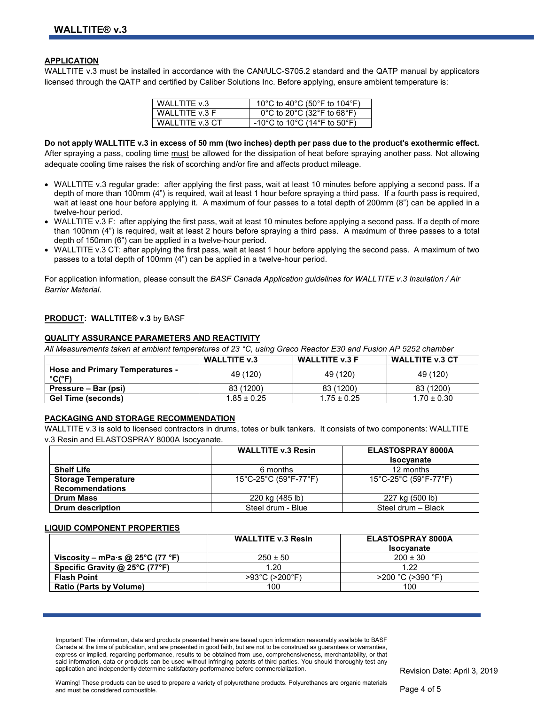#### **APPLICATION**

WALLTITE v.3 must be installed in accordance with the CAN/ULC-S705.2 standard and the QATP manual by applicators licensed through the QATP and certified by Caliber Solutions Inc. Before applying, ensure ambient temperature is:

| WALLTITE v.3     | 10°C to 40°C (50°F to 104°F)                                          |
|------------------|-----------------------------------------------------------------------|
| WALLTITE v.3 F   | $0^{\circ}$ C to 20 $^{\circ}$ C (32 $^{\circ}$ F to 68 $^{\circ}$ F) |
| WALL TITE v.3 CT | -10°C to 10°C (14°F to 50°F)                                          |

**Do not apply WALLTITE v.3 in excess of 50 mm (two inches) depth per pass due to the product's exothermic effect.**  After spraying a pass, cooling time must be allowed for the dissipation of heat before spraying another pass. Not allowing adequate cooling time raises the risk of scorching and/or fire and affects product mileage.

- WALLTITE v.3 regular grade: after applying the first pass, wait at least 10 minutes before applying a second pass. If a depth of more than 100mm (4") is required, wait at least 1 hour before spraying a third pass. If a fourth pass is required, wait at least one hour before applying it. A maximum of four passes to a total depth of 200mm (8") can be applied in a twelve-hour period.
- WALLTITE v.3 F: after applying the first pass, wait at least 10 minutes before applying a second pass. If a depth of more than 100mm (4") is required, wait at least 2 hours before spraying a third pass. A maximum of three passes to a total depth of 150mm (6") can be applied in a twelve-hour period.
- WALLTITE v.3 CT: after applying the first pass, wait at least 1 hour before applying the second pass. A maximum of two passes to a total depth of 100mm (4") can be applied in a twelve-hour period.

For application information, please consult the *BASF Canada Application guidelines for WALLTITE v.3 Insulation / Air Barrier Material*.

#### **PRODUCT: WALLTITE® v.3** by BASF

#### **QUALITY ASSURANCE PARAMETERS AND REACTIVITY**

*All Measurements taken at ambient temperatures of 23 °C, using Graco Reactor E30 and Fusion AP 5252 chamber* 

|                                                  | WALLTITE v.3    | <b>WALLTITE v.3 F</b> | <b>WALLTITE v.3 CT</b> |
|--------------------------------------------------|-----------------|-----------------------|------------------------|
| <b>Hose and Primary Temperatures -</b><br>°C(°F) | 49 (120)        | 49 (120)              | 49 (120)               |
| Pressure – Bar (psi)                             | 83 (1200)       | 83 (1200)             | 83 (1200)              |
| <b>Gel Time (seconds)</b>                        | $1.85 \pm 0.25$ | $1.75 \pm 0.25$       | $1.70 \pm 0.30$        |

#### **PACKAGING AND STORAGE RECOMMENDATION**

WALLTITE v.3 is sold to licensed contractors in drums, totes or bulk tankers. It consists of two components: WALLTITE v.3 Resin and ELASTOSPRAY 8000A Isocyanate.

|                            | <b>WALLTITE v.3 Resin</b> | ELASTOSPRAY 8000A                                                |
|----------------------------|---------------------------|------------------------------------------------------------------|
|                            |                           | <b>Isocyanate</b>                                                |
| <b>Shelf Life</b>          | 6 months                  | 12 months                                                        |
| <b>Storage Temperature</b> | 15°C-25°C (59°F-77°F)     | $15^{\circ}$ C-25 $^{\circ}$ C (59 $^{\circ}$ F-77 $^{\circ}$ F) |
| <b>Recommendations</b>     |                           |                                                                  |
| <b>Drum Mass</b>           | 220 kg (485 lb)           | 227 kg (500 lb)                                                  |
| <b>Drum description</b>    | Steel drum - Blue         | Steel drum - Black                                               |

#### **LIQUID COMPONENT PROPERTIES**

|                                  | <b>WALLTITE v.3 Resin</b>           | <b>ELASTOSPRAY 8000A</b> |
|----------------------------------|-------------------------------------|--------------------------|
|                                  |                                     | <b>Isocvanate</b>        |
| Viscosity – mPa·s @ 25°C (77 °F) | $250 \pm 50$                        | $200 \pm 30$             |
| Specific Gravity @ 25°C (77°F)   | 1.20                                | 1.22                     |
| <b>Flash Point</b>               | $>93^{\circ}$ C ( $>200^{\circ}$ F) | $>$ 200 °C ( $>$ 390 °F) |
| <b>Ratio (Parts by Volume)</b>   | 100                                 | 100                      |

Important! The information, data and products presented herein are based upon information reasonably available to BASF Canada at the time of publication, and are presented in good faith, but are not to be construed as guarantees or warranties, express or implied, regarding performance, results to be obtained from use, comprehensiveness, merchantability, or that said information, data or products can be used without infringing patents of third parties. You should thoroughly test any application and independently determine satisfactory performance before commercialization.

Page 4 of 5